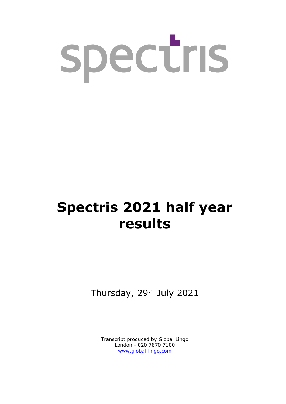

# **Spectris 2021 half year results**

Thursday, 29<sup>th</sup> July 2021

Transcript produced by Global Lingo London - 020 7870 7100 [www.global-lingo.com](http://www.global-lingo.com/)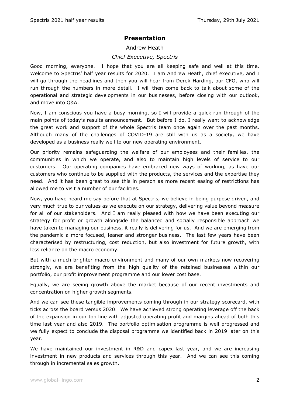# **Presentation**

#### Andrew Heath

## *Chief Executive, Spectris*

Good morning, everyone. I hope that you are all keeping safe and well at this time. Welcome to Spectris' half year results for 2020. I am Andrew Heath, chief executive, and I will go through the headlines and then you will hear from Derek Harding, our CFO, who will run through the numbers in more detail. I will then come back to talk about some of the operational and strategic developments in our businesses, before closing with our outlook, and move into Q&A.

Now, I am conscious you have a busy morning, so I will provide a quick run through of the main points of today's results announcement. But before I do, I really want to acknowledge the great work and support of the whole Spectris team once again over the past months. Although many of the challenges of COVID-19 are still with us as a society, we have developed as a business really well to our new operating environment.

Our priority remains safeguarding the welfare of our employees and their families, the communities in which we operate, and also to maintain high levels of service to our customers. Our operating companies have embraced new ways of working, as have our customers who continue to be supplied with the products, the services and the expertise they need. And it has been great to see this in person as more recent easing of restrictions has allowed me to visit a number of our facilities.

Now, you have heard me say before that at Spectris, we believe in being purpose driven, and very much true to our values as we execute on our strategy, delivering value beyond measure for all of our stakeholders. And I am really pleased with how we have been executing our strategy for profit or growth alongside the balanced and socially responsible approach we have taken to managing our business, it really is delivering for us. And we are emerging from the pandemic a more focused, leaner and stronger business. The last few years have been characterised by restructuring, cost reduction, but also investment for future growth, with less reliance on the macro economy.

But with a much brighter macro environment and many of our own markets now recovering strongly, we are benefiting from the high quality of the retained businesses within our portfolio, our profit improvement programme and our lower cost base.

Equally, we are seeing growth above the market because of our recent investments and concentration on higher growth segments.

And we can see these tangible improvements coming through in our strategy scorecard, with ticks across the board versus 2020. We have achieved strong operating leverage off the back of the expansion in our top line with adjusted operating profit and margins ahead of both this time last year and also 2019. The portfolio optimisation programme is well progressed and we fully expect to conclude the disposal programme we identified back in 2019 later on this year.

We have maintained our investment in R&D and capex last year, and we are increasing investment in new products and services through this year. And we can see this coming through in incremental sales growth.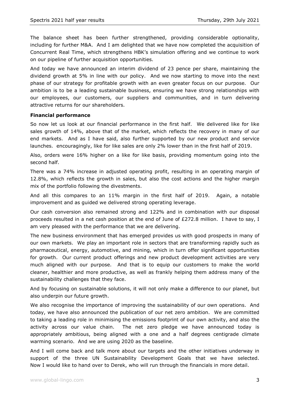The balance sheet has been further strengthened, providing considerable optionality, including for further M&A. And I am delighted that we have now completed the acquisition of Concurrent Real Time, which strengthens HBK's simulation offering and we continue to work on our pipeline of further acquisition opportunities.

And today we have announced an interim dividend of 23 pence per share, maintaining the dividend growth at 5% in line with our policy. And we now starting to move into the next phase of our strategy for profitable growth with an even greater focus on our purpose. Our ambition is to be a leading sustainable business, ensuring we have strong relationships with our employees, our customers, our suppliers and communities, and in turn delivering attractive returns for our shareholders.

#### **Financial performance**

So now let us look at our financial performance in the first half. We delivered like for like sales growth of 14%, above that of the market, which reflects the recovery in many of our end markets. And as I have said, also further supported by our new product and service launches. encouragingly, like for like sales are only 2% lower than in the first half of 2019.

Also, orders were 16% higher on a like for like basis, providing momentum going into the second half.

There was a 74% increase in adjusted operating profit, resulting in an operating margin of 12.8%, which reflects the growth in sales, but also the cost actions and the higher margin mix of the portfolio following the divestments.

And all this compares to an 11% margin in the first half of 2019. Again, a notable improvement and as guided we delivered strong operating leverage.

Our cash conversion also remained strong and 122% and in combination with our disposal proceeds resulted in a net cash position at the end of June of £272.8 million. I have to say, I am very pleased with the performance that we are delivering.

The new business environment that has emerged provides us with good prospects in many of our own markets. We play an important role in sectors that are transforming rapidly such as pharmaceutical, energy, automotive, and mining, which in turn offer significant opportunities for growth. Our current product offerings and new product development activities are very much aligned with our purpose. And that is to equip our customers to make the world cleaner, healthier and more productive, as well as frankly helping them address many of the sustainability challenges that they face.

And by focusing on sustainable solutions, it will not only make a difference to our planet, but also underpin our future growth.

We also recognise the importance of improving the sustainability of our own operations. And today, we have also announced the publication of our net zero ambition. We are committed to taking a leading role in minimising the emissions footprint of our own activity, and also the activity across our value chain. The net zero pledge we have announced today is appropriately ambitious, being aligned with a one and a half degrees centigrade climate warming scenario. And we are using 2020 as the baseline.

And I will come back and talk more about our targets and the other initiatives underway in support of the three UN Sustainability Development Goals that we have selected. Now I would like to hand over to Derek, who will run through the financials in more detail.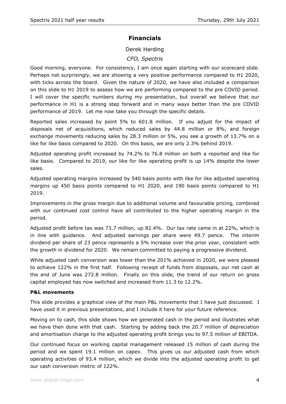# **Financials**

Derek Harding

# *CFO, Spectris*

Good morning, everyone. For consistency, I am once again starting with our scorecard slide. Perhaps not surprisingly, we are showing a very positive performance compared to H1 2020, with ticks across the board. Given the nature of 2020, we have also included a comparison on this slide to H1 2019 to assess how we are performing compared to the pre COVID period. I will cover the specific numbers during my presentation, but overall we believe that our performance in H1 is a strong step forward and in many ways better than the pre COVID performance of 2019. Let me now take you through the specific details.

Reported sales increased by point 5% to 601.8 million. If you adjust for the impact of disposals net of acquisitions, which reduced sales by 44.8 million or 8%, and foreign exchange movements reducing sales by 28.3 million or 5%, you see a growth of 13.7% on a like for like basis compared to 2020. On this basis, we are only 2.3% behind 2019.

Adjusted operating profit increased by 74.2% to 76.8 million on both a reported and like for like basis. Compared to 2019, our like for like operating profit is up 14% despite the lower sales.

Adjusted operating margins increased by 540 basis points with like for like adjusted operating margins up 450 basis points compared to H1 2020, and 190 basis points compared to H1 2019.

Improvements in the gross margin due to additional volume and favourable pricing, combined with our continued cost control have all contributed to the higher operating margin in the period.

Adjusted profit before tax was 73.7 million, up 82.4%. Our tax rate came in at 22%, which is in line with guidance. And adjusted earnings per share were 49.7 pence. The interim dividend per share of 23 pence represents a 5% increase over the prior year, consistent with the growth in dividend for 2020. We remain committed to paying a progressive dividend.

While adjusted cash conversion was lower than the 201% achieved in 2020, we were pleased to achieve 122% in the first half. Following receipt of funds from disposals, our net cash at the end of June was 272.8 million. Finally on this slide, the trend of our return on gross capital employed has now switched and increased from 11.3 to 12.2%.

#### **P&L movements**

This slide provides a graphical view of the main P&L movements that I have just discussed. I have used it in previous presentations, and I include it here for your future reference.

Moving on to cash, this slide shows how we generated cash in the period and illustrates what we have then done with that cash. Starting by adding back the 20.7 million of depreciation and amortisation charge to the adjusted operating profit brings you to 97.5 million of EBITDA.

Our continued focus on working capital management released 15 million of cash during the period and we spent 19.1 million on capex. This gives us our adjusted cash from which operating activities of 93.4 million, which we divide into the adjusted operating profit to get our cash conversion metric of 122%.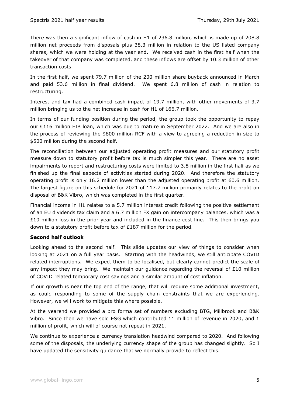There was then a significant inflow of cash in H1 of 236.8 million, which is made up of 208.8 million net proceeds from disposals plus 38.3 million in relation to the US listed company shares, which we were holding at the year end. We received cash in the first half when the takeover of that company was completed, and these inflows are offset by 10.3 million of other transaction costs.

In the first half, we spent 79.7 million of the 200 million share buyback announced in March and paid 53.6 million in final dividend. We spent 6.8 million of cash in relation to restructuring.

Interest and tax had a combined cash impact of 19.7 million, with other movements of 3.7 million bringing us to the net increase in cash for H1 of 166.7 million.

In terms of our funding position during the period, the group took the opportunity to repay our €116 million EIB loan, which was due to mature in September 2022. And we are also in the process of reviewing the \$800 million RCF with a view to agreeing a reduction in size to \$500 million during the second half.

The reconciliation between our adjusted operating profit measures and our statutory profit measure down to statutory profit before tax is much simpler this year. There are no asset impairments to report and restructuring costs were limited to 3.8 million in the first half as we finished up the final aspects of activities started during 2020. And therefore the statutory operating profit is only 16.2 million lower than the adjusted operating profit at 60.6 million. The largest figure on this schedule for 2021 of 117.7 million primarily relates to the profit on disposal of B&K Vibro, which was completed in the first quarter.

Financial income in H1 relates to a 5.7 million interest credit following the positive settlement of an EU dividends tax claim and a 6.7 million FX gain on intercompany balances, which was a £10 million loss in the prior year and included in the finance cost line. This then brings you down to a statutory profit before tax of £187 million for the period.

#### **Second half outlook**

Looking ahead to the second half. This slide updates our view of things to consider when looking at 2021 on a full year basis. Starting with the headwinds, we still anticipate COVID related interruptions. We expect them to be localised, but clearly cannot predict the scale of any impact they may bring. We maintain our guidance regarding the reversal of  $£10$  million of COVID related temporary cost savings and a similar amount of cost inflation.

If our growth is near the top end of the range, that will require some additional investment, as could responding to some of the supply chain constraints that we are experiencing. However, we will work to mitigate this where possible.

At the yearend we provided a pro forma set of numbers excluding BTG, Millbrook and B&K Vibro. Since then we have sold ESG which contributed 11 million of revenue in 2020, and 1 million of profit, which will of course not repeat in 2021.

We continue to experience a currency translation headwind compared to 2020. And following some of the disposals, the underlying currency shape of the group has changed slightly. So I have updated the sensitivity guidance that we normally provide to reflect this.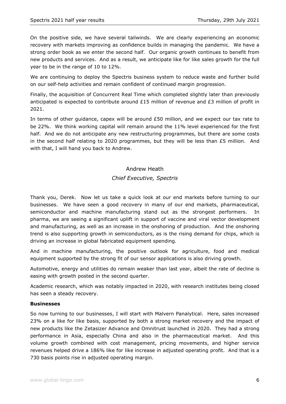On the positive side, we have several tailwinds. We are clearly experiencing an economic recovery with markets improving as confidence builds in managing the pandemic. We have a strong order book as we enter the second half. Our organic growth continues to benefit from new products and services. And as a result, we anticipate like for like sales growth for the full year to be in the range of 10 to 12%.

We are continuing to deploy the Spectris business system to reduce waste and further build on our self-help activities and remain confident of continued margin progression.

Finally, the acquisition of Concurrent Real Time which completed slightly later than previously anticipated is expected to contribute around £15 million of revenue and £3 million of profit in 2021.

In terms of other guidance, capex will be around £50 million, and we expect our tax rate to be 22%. We think working capital will remain around the 11% level experienced for the first half. And we do not anticipate any new restructuring programmes, but there are some costs in the second half relating to 2020 programmes, but they will be less than £5 million. And with that, I will hand you back to Andrew.

#### Andrew Heath

## *Chief Executive, Spectris*

Thank you, Derek. Now let us take a quick look at our end markets before turning to our businesses. We have seen a good recovery in many of our end markets, pharmaceutical, semiconductor and machine manufacturing stand out as the strongest performers. In pharma, we are seeing a significant uplift in support of vaccine and viral vector development and manufacturing, as well as an increase in the onshoring of production. And the onshoring trend is also supporting growth in semiconductors, as is the rising demand for chips, which is driving an increase in global fabricated equipment spending.

And in machine manufacturing, the positive outlook for agriculture, food and medical equipment supported by the strong fit of our sensor applications is also driving growth.

Automotive, energy and utilities do remain weaker than last year, albeit the rate of decline is easing with growth posted in the second quarter.

Academic research, which was notably impacted in 2020, with research institutes being closed has seen a steady recovery.

#### **Businesses**

So now turning to our businesses, I will start with Malvern Panalytical. Here, sales increased 23% on a like for like basis, supported by both a strong market recovery and the impact of new products like the Zetasizer Advance and Omnitrust launched in 2020. They had a strong performance in Asia, especially China and also in the pharmaceutical market. And this volume growth combined with cost management, pricing movements, and higher service revenues helped drive a 186% like for like increase in adjusted operating profit. And that is a 730 basis points rise in adjusted operating margin.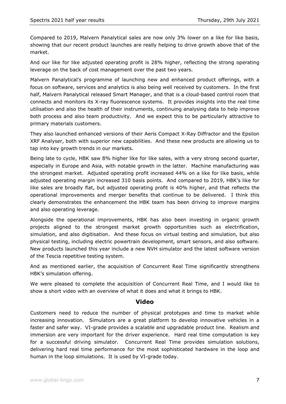Compared to 2019, Malvern Panalytical sales are now only 3% lower on a like for like basis, showing that our recent product launches are really helping to drive growth above that of the market.

And our like for like adjusted operating profit is 28% higher, reflecting the strong operating leverage on the back of cost management over the past two years.

Malvern Panalytical's programme of launching new and enhanced product offerings, with a focus on software, services and analytics is also being well received by customers. In the first half, Malvern Panalytical released Smart Manager, and that is a cloud-based control room that connects and monitors its X-ray fluorescence systems. It provides insights into the real time utilisation and also the health of their instruments, continuing analysing data to help improve both process and also team productivity. And we expect this to be particularly attractive to primary materials customers.

They also launched enhanced versions of their Aeris Compact X-Ray Diffractor and the Epsilon XRF Analyser, both with superior new capabilities. And these new products are allowing us to tap into key growth trends in our markets.

Being late to cycle, HBK saw 8% higher like for like sales, with a very strong second quarter, especially in Europe and Asia, with notable growth in the latter. Machine manufacturing was the strongest market. Adjusted operating profit increased 44% on a like for like basis, while adjusted operating margin increased 310 basis points. And compared to 2019, HBK's like for like sales are broadly flat, but adjusted operating profit is 40% higher, and that reflects the operational improvements and merger benefits that continue to be delivered. I think this clearly demonstrates the enhancement the HBK team has been driving to improve margins and also operating leverage.

Alongside the operational improvements, HBK has also been investing in organic growth projects aligned to the strongest market growth opportunities such as electrification, simulation, and also digitisation. And these focus on virtual testing and simulation, but also physical testing, including electric powertrain development, smart sensors, and also software. New products launched this year include a new NVH simulator and the latest software version of the Tescia repetitive testing system.

And as mentioned earlier, the acquisition of Concurrent Real Time significantly strengthens HBK's simulation offering.

We were pleased to complete the acquisition of Concurrent Real Time, and I would like to show a short video with an overview of what it does and what it brings to HBK.

#### **Video**

Customers need to reduce the number of physical prototypes and time to market while increasing innovation. Simulators are a great platform to develop innovative vehicles in a faster and safer way. VI-grade provides a scalable and upgradable product line. Realism and immersion are very important for the driver experience. Hard real time computation is key for a successful driving simulator. Concurrent Real Time provides simulation solutions, delivering hard real time performance for the most sophisticated hardware in the loop and human in the loop simulations. It is used by VI-grade today.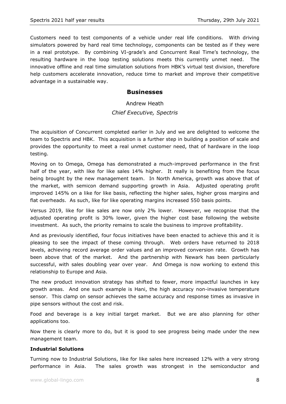Customers need to test components of a vehicle under real life conditions. With driving simulators powered by hard real time technology, components can be tested as if they were in a real prototype. By combining VI-grade's and Concurrent Real Time's technology, the resulting hardware in the loop testing solutions meets this currently unmet need. The innovative offline and real time simulation solutions from HBK's virtual test division, therefore help customers accelerate innovation, reduce time to market and improve their competitive advantage in a sustainable way.

## **Businesses**

# Andrew Heath *Chief Executive, Spectris*

The acquisition of Concurrent completed earlier in July and we are delighted to welcome the team to Spectris and HBK. This acquisition is a further step in building a position of scale and provides the opportunity to meet a real unmet customer need, that of hardware in the loop testing.

Moving on to Omega, Omega has demonstrated a much-improved performance in the first half of the year, with like for like sales 14% higher. It really is benefiting from the focus being brought by the new management team. In North America, growth was above that of the market, with semicon demand supporting growth in Asia. Adjusted operating profit improved 145% on a like for like basis, reflecting the higher sales, higher gross margins and flat overheads. As such, like for like operating margins increased 550 basis points.

Versus 2019, like for like sales are now only 2% lower. However, we recognise that the adjusted operating profit is 30% lower, given the higher cost base following the website investment. As such, the priority remains to scale the business to improve profitability.

And as previously identified, four focus initiatives have been enacted to achieve this and it is pleasing to see the impact of these coming through. Web orders have returned to 2018 levels, achieving record average order values and an improved conversion rate. Growth has been above that of the market. And the partnership with Newark has been particularly successful, with sales doubling year over year. And Omega is now working to extend this relationship to Europe and Asia.

The new product innovation strategy has shifted to fewer, more impactful launches in key growth areas. And one such example is Hani, the high accuracy non-invasive temperature sensor. This clamp on sensor achieves the same accuracy and response times as invasive in pipe sensors without the cost and risk.

Food and beverage is a key initial target market. But we are also planning for other applications too.

Now there is clearly more to do, but it is good to see progress being made under the new management team.

#### **Industrial Solutions**

Turning now to Industrial Solutions, like for like sales here increased 12% with a very strong performance in Asia. The sales growth was strongest in the semiconductor and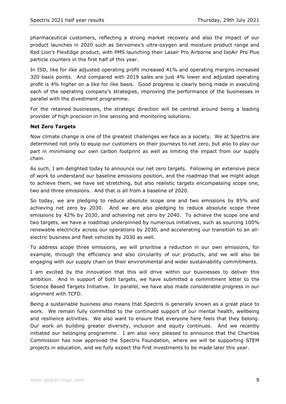pharmaceutical customers, reflecting a strong market recovery and also the impact of our product launches in 2020 such as Servomex's ultra-oxygen and moisture product range and Red Lion's FlexEdge product, with PMS launching their Lasair Pro Airborne and IsoAir Pro Plus particle counters in the first half of this year.

In ISD, like for like adjusted operating profit increased 41% and operating margins increased 320 basis points. And compared with 2019 sales are just 4% lower and adjusted operating profit is 4% higher on a like for like basis. Good progress is clearly being made in executing each of the operating company's strategies, improving the performance of the businesses in parallel with the divestment programme.

For the retained businesses, the strategic direction will be centred around being a leading provider of high precision in line sensing and monitoring solutions.

#### **Net Zero Targets**

Now climate change is one of the greatest challenges we face as a society. We at Spectris are determined not only to equip our customers on their journeys to net zero, but also to play our part in minimising our own carbon footprint as well as limiting the impact from our supply chain.

As such, I am delighted today to announce our net zero targets. Following an extensive piece of work to understand our baseline emissions position, and the roadmap that we might adopt to achieve them, we have set stretching, but also realistic targets encompassing scope one, two and three emissions. And that is all from a baseline of 2020.

So today, we are pledging to reduce absolute scope one and two emissions by 85% and achieving net zero by 2030. And we are also pledging to reduce absolute scope three emissions by 42% by 2030, and achieving net zero by 2040. To achieve the scope one and two targets, we have a roadmap underpinned by numerous initiatives, such as sourcing 100% renewable electricity across our operations by 2030, and accelerating our transition to an allelectric business and fleet vehicles by 2030 as well.

To address scope three emissions, we will prioritise a reduction in our own emissions, for example, through the efficiency and also circularity of our products, and we will also be engaging with our supply chain on their environmental and wider sustainability commitments.

I am excited by the innovation that this will drive within our businesses to deliver this ambition. And in support of both targets, we have submitted a commitment letter to the Science Based Targets Initiative. In parallel, we have also made considerable progress in our alignment with TCFD.

Being a sustainable business also means that Spectris is generally known as a great place to work. We remain fully committed to the continued support of our mental health, wellbeing and resilience activities. We also want to ensure that everyone here feels that they belong. Our work on building greater diversity, inclusion and equity continues. And we recently initiated our belonging programme. I am also very pleased to announce that the Charities Commission has now approved the Spectris Foundation, where we will be supporting STEM projects in education, and we fully expect the first investments to be made later this year.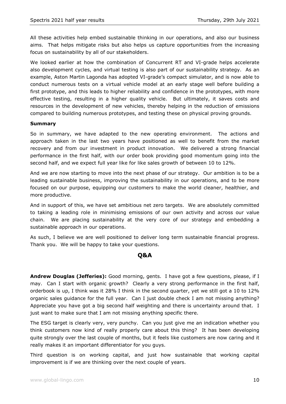All these activities help embed sustainable thinking in our operations, and also our business aims. That helps mitigate risks but also helps us capture opportunities from the increasing focus on sustainability by all of our stakeholders.

We looked earlier at how the combination of Concurrent RT and VI-grade helps accelerate also development cycles, and virtual testing is also part of our sustainability strategy. As an example, Aston Martin Lagonda has adopted VI-grade's compact simulator, and is now able to conduct numerous tests on a virtual vehicle model at an early stage well before building a first prototype, and this leads to higher reliability and confidence in the prototypes, with more effective testing, resulting in a higher quality vehicle. But ultimately, it saves costs and resources in the development of new vehicles, thereby helping in the reduction of emissions compared to building numerous prototypes, and testing these on physical proving grounds.

#### **Summary**

So in summary, we have adapted to the new operating environment. The actions and approach taken in the last two years have positioned as well to benefit from the market recovery and from our investment in product innovation. We delivered a strong financial performance in the first half, with our order book providing good momentum going into the second half, and we expect full year like for like sales growth of between 10 to 12%.

And we are now starting to move into the next phase of our strategy. Our ambition is to be a leading sustainable business, improving the sustainability in our operations, and to be more focused on our purpose, equipping our customers to make the world cleaner, healthier, and more productive.

And in support of this, we have set ambitious net zero targets. We are absolutely committed to taking a leading role in minimising emissions of our own activity and across our value chain. We are placing sustainability at the very core of our strategy and embedding a sustainable approach in our operations.

As such, I believe we are well positioned to deliver long term sustainable financial progress. Thank you. We will be happy to take your questions.

## **Q&A**

**Andrew Douglas (Jefferies):** Good morning, gents. I have got a few questions, please, if I may. Can I start with organic growth? Clearly a very strong performance in the first half, orderbook is up, I think was it 28% I think in the second quarter, yet we still got a 10 to 12% organic sales guidance for the full year. Can I just double check I am not missing anything? Appreciate you have got a big second half weighting and there is uncertainty around that. I just want to make sure that I am not missing anything specific there.

The ESG target is clearly very, very punchy. Can you just give me an indication whether you think customers now kind of really properly care about this thing? It has been developing quite strongly over the last couple of months, but it feels like customers are now caring and it really makes it an important differentiator for you guys.

Third question is on working capital, and just how sustainable that working capital improvement is if we are thinking over the next couple of years.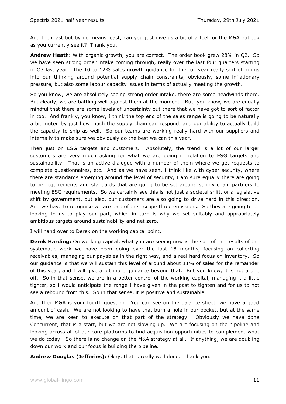And then last but by no means least, can you just give us a bit of a feel for the M&A outlook as you currently see it? Thank you.

**Andrew Heath:** With organic growth, you are correct. The order book grew 28% in Q2. So we have seen strong order intake coming through, really over the last four quarters starting in Q3 last year. The 10 to 12% sales growth guidance for the full year really sort of brings into our thinking around potential supply chain constraints, obviously, some inflationary pressure, but also some labour capacity issues in terms of actually meeting the growth.

So you know, we are absolutely seeing strong order intake, there are some headwinds there. But clearly, we are battling well against them at the moment. But, you know, we are equally mindful that there are some levels of uncertainty out there that we have got to sort of factor in too. And frankly, you know, I think the top end of the sales range is going to be naturally a bit muted by just how much the supply chain can respond, and our ability to actually build the capacity to ship as well. So our teams are working really hard with our suppliers and internally to make sure we obviously do the best we can this year.

Then just on ESG targets and customers. Absolutely, the trend is a lot of our larger customers are very much asking for what we are doing in relation to ESG targets and sustainability. That is an active dialogue with a number of them where we get requests to complete questionnaires, etc. And as we have seen, I think like with cyber security, where there are standards emerging around the level of security, I am sure equally there are going to be requirements and standards that are going to be set around supply chain partners to meeting ESG requirements. So we certainly see this is not just a societal shift, or a legislative shift by government, but also, our customers are also going to drive hard in this direction. And we have to recognise we are part of their scope three emissions. So they are going to be looking to us to play our part, which in turn is why we set suitably and appropriately ambitious targets around sustainability and net zero.

I will hand over to Derek on the working capital point.

**Derek Harding:** On working capital, what you are seeing now is the sort of the results of the systematic work we have been doing over the last 18 months, focusing on collecting receivables, managing our payables in the right way, and a real hard focus on inventory. So our guidance is that we will sustain this level of around about 11% of sales for the remainder of this year, and I will give a bit more guidance beyond that. But you know, it is not a one off. So in that sense, we are in a better control of the working capital, managing it a little tighter, so I would anticipate the range I have given in the past to tighten and for us to not see a rebound from this. So in that sense, it is positive and sustainable.

And then M&A is your fourth question. You can see on the balance sheet, we have a good amount of cash. We are not looking to have that burn a hole in our pocket, but at the same time, we are keen to execute on that part of the strategy. Obviously we have done Concurrent, that is a start, but we are not slowing up. We are focusing on the pipeline and looking across all of our core platforms to find acquisition opportunities to complement what we do today. So there is no change on the M&A strategy at all. If anything, we are doubling down our work and our focus is building the pipeline.

**Andrew Douglas (Jefferies):** Okay, that is really well done. Thank you.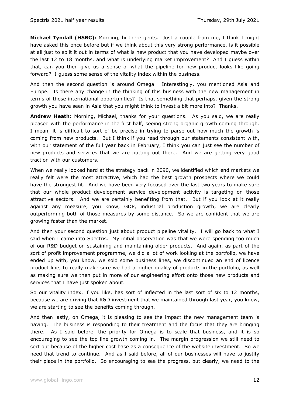**Michael Tyndall (HSBC):** Morning, hi there gents. Just a couple from me, I think I might have asked this once before but if we think about this very strong performance, is it possible at all just to split it out in terms of what is new product that you have developed maybe over the last 12 to 18 months, and what is underlying market improvement? And I guess within that, can you then give us a sense of what the pipeline for new product looks like going forward? I guess some sense of the vitality index within the business.

And then the second question is around Omega. Interestingly, you mentioned Asia and Europe. Is there any change in the thinking of this business with the new management in terms of those international opportunities? Is that something that perhaps, given the strong growth you have seen in Asia that you might think to invest a bit more into? Thanks.

**Andrew Heath:** Morning, Michael, thanks for your questions. As you said, we are really pleased with the performance in the first half, seeing strong organic growth coming through. I mean, it is difficult to sort of be precise in trying to parse out how much the growth is coming from new products. But I think if you read through our statements consistent with, with our statement of the full year back in February, I think you can just see the number of new products and services that we are putting out there. And we are getting very good traction with our customers.

When we really looked hard at the strategy back in 2090, we identified which end markets we really felt were the most attractive, which had the best growth prospects where we could have the strongest fit. And we have been very focused over the last two years to make sure that our whole product development service development activity is targeting on those attractive sectors. And we are certainly benefiting from that. But if you look at it really against any measure, you know, GDP, industrial production growth, we are clearly outperforming both of those measures by some distance. So we are confident that we are growing faster than the market.

And then your second question just about product pipeline vitality. I will go back to what I said when I came into Spectris. My initial observation was that we were spending too much of our R&D budget on sustaining and maintaining older products. And again, as part of the sort of profit improvement programme, we did a lot of work looking at the portfolio, we have ended up with, you know, we sold some business lines, we discontinued an end of licence product line, to really make sure we had a higher quality of products in the portfolio, as well as making sure we then put in more of our engineering effort onto those new products and services that I have just spoken about.

So our vitality index, if you like, has sort of inflected in the last sort of six to 12 months, because we are driving that R&D investment that we maintained through last year, you know, we are starting to see the benefits coming through.

And then lastly, on Omega, it is pleasing to see the impact the new management team is having. The business is responding to their treatment and the focus that they are bringing there. As I said before, the priority for Omega is to scale that business, and it is so encouraging to see the top line growth coming in. The margin progression we still need to sort out because of the higher cost base as a consequence of the website investment. So we need that trend to continue. And as I said before, all of our businesses will have to justify their place in the portfolio. So encouraging to see the progress, but clearly, we need to the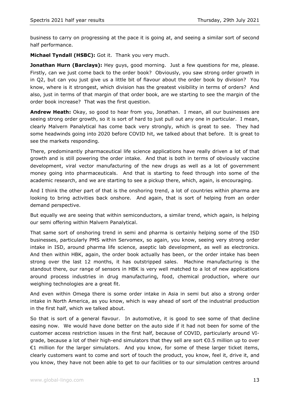business to carry on progressing at the pace it is going at, and seeing a similar sort of second half performance.

**Michael Tyndall (HSBC):** Got it. Thank you very much.

**Jonathan Hurn (Barclays):** Hey guys, good morning. Just a few questions for me, please. Firstly, can we just come back to the order book? Obviously, you saw strong order growth in in Q2, but can you just give us a little bit of flavour about the order book by division? You know, where is it strongest, which division has the greatest visibility in terms of orders? And also, just in terms of that margin of that order book, are we starting to see the margin of the order book increase? That was the first question.

**Andrew Heath:** Okay, so good to hear from you, Jonathan. I mean, all our businesses are seeing strong order growth, so it is sort of hard to just pull out any one in particular. I mean, clearly Malvern Panalytical has come back very strongly, which is great to see. They had some headwinds going into 2020 before COVID hit, we talked about that before. It is great to see the markets responding.

There, predominantly pharmaceutical life science applications have really driven a lot of that growth and is still powering the order intake. And that is both in terms of obviously vaccine development, viral vector manufacturing of the new drugs as well as a lot of government money going into pharmaceuticals. And that is starting to feed through into some of the academic research, and we are starting to see a pickup there, which, again, is encouraging.

And I think the other part of that is the onshoring trend, a lot of countries within pharma are looking to bring activities back onshore. And again, that is sort of helping from an order demand perspective.

But equally we are seeing that within semiconductors, a similar trend, which again, is helping our semi offering within Malvern Panalytical.

That same sort of onshoring trend in semi and pharma is certainly helping some of the ISD businesses, particularly PMS within Servomex, so again, you know, seeing very strong order intake in ISD, around pharma life science, aseptic lab development, as well as electronics. And then within HBK, again, the order book actually has been, or the order intake has been strong over the last 12 months, it has outstripped sales. Machine manufacturing is the standout there, our range of sensors in HBK is very well matched to a lot of new applications around process industries in drug manufacturing, food, chemical production, where our weighing technologies are a great fit.

And even within Omega there is some order intake in Asia in semi but also a strong order intake in North America, as you know, which is way ahead of sort of the industrial production in the first half, which we talked about.

So that is sort of a general flavour. In automotive, it is good to see some of that decline easing now. We would have done better on the auto side if it had not been for some of the customer access restriction issues in the first half, because of COVID, particularly around VIgrade, because a lot of their high-end simulators that they sell are sort €0.5 million up to over €1 million for the larger simulators. And you know, for some of these larger ticket items, clearly customers want to come and sort of touch the product, you know, feel it, drive it, and you know, they have not been able to get to our facilities or to our simulation centres around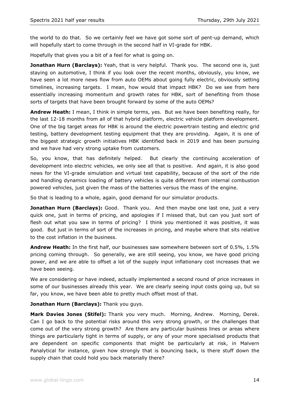the world to do that. So we certainly feel we have got some sort of pent-up demand, which will hopefully start to come through in the second half in VI-grade for HBK.

Hopefully that gives you a bit of a feel for what is going on.

**Jonathan Hurn (Barclays):** Yeah, that is very helpful. Thank you. The second one is, just staying on automotive, I think if you look over the recent months, obviously, you know, we have seen a lot more news flow from auto OEMs about going fully electric, obviously setting timelines, increasing targets. I mean, how would that impact HBK? Do we see from here essentially increasing momentum and growth rates for HBK, sort of benefiting from those sorts of targets that have been brought forward by some of the auto OEMs?

**Andrew Heath:** I mean, I think in simple terms, yes. But we have been benefiting really, for the last 12-18 months from all of that hybrid platform, electric vehicle platform development. One of the big target areas for HBK is around the electric powertrain testing and electric grid testing, battery development testing equipment that they are providing. Again, it is one of the biggest strategic growth initiatives HBK identified back in 2019 and has been pursuing and we have had very strong uptake from customers.

So, you know, that has definitely helped. But clearly the continuing acceleration of development into electric vehicles, we only see all that is positive. And again, it is also good news for the VI-grade simulation and virtual test capability, because of the sort of the ride and handling dynamics loading of battery vehicles is quite different from internal combustion powered vehicles, just given the mass of the batteries versus the mass of the engine.

So that is leading to a whole, again, good demand for our simulator products.

**Jonathan Hurn (Barclays):** Good. Thank you. And then maybe one last one, just a very quick one, just in terms of pricing, and apologies if I missed that, but can you just sort of flesh out what you saw in terms of pricing? I think you mentioned it was positive, it was good. But just in terms of sort of the increases in pricing, and maybe where that sits relative to the cost inflation in the business.

**Andrew Heath:** In the first half, our businesses saw somewhere between sort of 0.5%, 1.5% pricing coming through. So generally, we are still seeing, you know, we have good pricing power, and we are able to offset a lot of the supply input inflationary cost increases that we have been seeing.

We are considering or have indeed, actually implemented a second round of price increases in some of our businesses already this year. We are clearly seeing input costs going up, but so far, you know, we have been able to pretty much offset most of that.

**Jonathan Hurn (Barclays):** Thank you guys.

**Mark Davies Jones (Stifel):** Thank you very much. Morning, Andrew. Morning, Derek. Can I go back to the potential risks around this very strong growth, or the challenges that come out of the very strong growth? Are there any particular business lines or areas where things are particularly tight in terms of supply, or any of your more specialised products that are dependent on specific components that might be particularly at risk, in Malvern Panalytical for instance, given how strongly that is bouncing back, is there stuff down the supply chain that could hold you back materially there?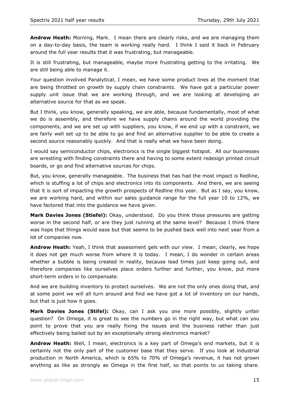**Andrew Heath:** Morning, Mark. I mean there are clearly risks, and we are managing them on a day-to-day basis, the team is working really hard. I think I said it back in February around the full year results that it was frustrating, but manageable.

It is still frustrating, but manageable, maybe more frustrating getting to the irritating. We are still being able to manage it.

Your question involved Panalytical, I mean, we have some product lines at the moment that are being throttled on growth by supply chain constraints. We have got a particular power supply unit issue that we are working through, and we are looking at developing an alternative source for that as we speak.

But I think, you know, generally speaking, we are able, because fundamentally, most of what we do is assembly, and therefore we have supply chains around the world providing the components, and we are set up with suppliers, you know, if we end up with a constraint, we are fairly well set up to be able to go and find an alternative supplier to be able to create a second source reasonably quickly. And that is really what we have been doing.

I would say semiconductor chips, electronics is the single biggest hotspot. All our businesses are wrestling with finding constraints there and having to some extent redesign printed circuit boards, or go and find alternative sources for chips.

But, you know, generally manageable. The business that has had the most impact is Redline, which is stuffing a lot of chips and electronics into its components. And there, we are seeing that it is sort of impacting the growth prospects of Redline this year. But as I say, you know, we are working hard, and within our sales guidance range for the full year 10 to 12%, we have factored that into the guidance we have given.

**Mark Davies Jones (Stiefel):** Okay, understood. Do you think those pressures are getting worse in the second half, or are they just running at the same level? Because I think there was hope that things would ease but that seems to be pushed back well into next year from a lot of companies now.

**Andrew Heath:** Yeah, I think that assessment gels with our view. I mean, clearly, we hope it does not get much worse from where it is today. I mean, I do wonder in certain areas whether a bubble is being created in reality, because lead times just keep going out, and therefore companies like ourselves place orders further and further, you know, put more short-term orders in to compensate.

And we are building inventory to protect ourselves. We are not the only ones doing that, and at some point we will all turn around and find we have got a lot of inventory on our hands, but that is just how it goes.

**Mark Davies Jones (Stifel):** Okay, can I ask you one more possibly, slightly unfair question? On Omega, it is great to see the numbers go in the right way, but what can you point to prove that you are really fixing the issues and the business rather than just effectively being bailed out by an exceptionally strong electronics market?

**Andrew Heath:** Well, I mean, electronics is a key part of Omega's end markets, but it is certainly not the only part of the customer base that they serve. If you look at industrial production in North America, which is 65% to 70% of Omega's revenue, it has not grown anything as like as strongly as Omega in the first half, so that points to us taking share.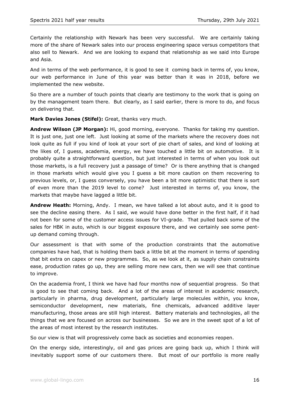Certainly the relationship with Newark has been very successful. We are certainly taking more of the share of Newark sales into our process engineering space versus competitors that also sell to Newark. And we are looking to expand that relationship as we said into Europe and Asia.

And in terms of the web performance, it is good to see it coming back in terms of, you know, our web performance in June of this year was better than it was in 2018, before we implemented the new website.

So there are a number of touch points that clearly are testimony to the work that is going on by the management team there. But clearly, as I said earlier, there is more to do, and focus on delivering that.

**Mark Davies Jones (Stifel):** Great, thanks very much.

**Andrew Wilson (JP Morgan):** Hi, good morning, everyone. Thanks for taking my question. It is just one, just one left. Just looking at some of the markets where the recovery does not look quite as full if you kind of look at your sort of pie chart of sales, and kind of looking at the likes of, I guess, academia, energy, we have touched a little bit on automotive. It is probably quite a straightforward question, but just interested in terms of when you look out those markets, is a full recovery just a passage of time? Or is there anything that is changed in those markets which would give you I guess a bit more caution on them recovering to previous levels, or, I guess conversely, you have been a bit more optimistic that there is sort of even more than the 2019 level to come? Just interested in terms of, you know, the markets that maybe have lagged a little bit.

**Andrew Heath:** Morning, Andy. I mean, we have talked a lot about auto, and it is good to see the decline easing there. As I said, we would have done better in the first half, if it had not been for some of the customer access issues for VI-grade. That pulled back some of the sales for HBK in auto, which is our biggest exposure there, and we certainly see some pentup demand coming through.

Our assessment is that with some of the production constraints that the automotive companies have had, that is holding them back a little bit at the moment in terms of spending that bit extra on capex or new programmes. So, as we look at it, as supply chain constraints ease, production rates go up, they are selling more new cars, then we will see that continue to improve.

On the academia front, I think we have had four months now of sequential progress. So that is good to see that coming back. And a lot of the areas of interest in academic research, particularly in pharma, drug development, particularly large molecules within, you know, semiconductor development, new materials, fine chemicals, advanced additive layer manufacturing, those areas are still high interest. Battery materials and technologies, all the things that we are focused on across our businesses. So we are in the sweet spot of a lot of the areas of most interest by the research institutes.

So our view is that will progressively come back as societies and economies reopen.

On the energy side, interestingly, oil and gas prices are going back up, which I think will inevitably support some of our customers there. But most of our portfolio is more really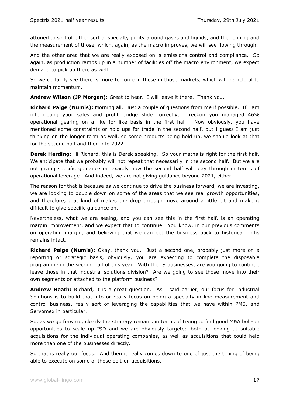attuned to sort of either sort of specialty purity around gases and liquids, and the refining and the measurement of those, which, again, as the macro improves, we will see flowing through.

And the other area that we are really exposed on is emissions control and compliance. So again, as production ramps up in a number of facilities off the macro environment, we expect demand to pick up there as well.

So we certainly see there is more to come in those in those markets, which will be helpful to maintain momentum.

**Andrew Wilson (JP Morgan):** Great to hear. I will leave it there. Thank you.

**Richard Paige (Numis):** Morning all. Just a couple of questions from me if possible. If I am interpreting your sales and profit bridge slide correctly, I reckon you managed 46% operational gearing on a like for like basis in the first half. Now obviously, you have mentioned some constraints or hold ups for trade in the second half, but I guess I am just thinking on the longer term as well, so some products being held up, we should look at that for the second half and then into 2022.

**Derek Harding:** Hi Richard, this is Derek speaking. So your maths is right for the first half. We anticipate that we probably will not repeat that necessarily in the second half. But we are not giving specific guidance on exactly how the second half will play through in terms of operational leverage. And indeed, we are not giving guidance beyond 2021, either.

The reason for that is because as we continue to drive the business forward, we are investing, we are looking to double down on some of the areas that we see real growth opportunities, and therefore, that kind of makes the drop through move around a little bit and make it difficult to give specific guidance on.

Nevertheless, what we are seeing, and you can see this in the first half, is an operating margin improvement, and we expect that to continue. You know, in our previous comments on operating margin, and believing that we can get the business back to historical highs remains intact.

**Richard Paige (Numis):** Okay, thank you. Just a second one, probably just more on a reporting or strategic basis, obviously, you are expecting to complete the disposable programme in the second half of this year. With the IS businesses, are you going to continue leave those in that industrial solutions division? Are we going to see those move into their own segments or attached to the platform business?

**Andrew Heath:** Richard, it is a great question. As I said earlier, our focus for Industrial Solutions is to build that into or really focus on being a specialty in line measurement and control business, really sort of leveraging the capabilities that we have within PMS, and Servomex in particular.

So, as we go forward, clearly the strategy remains in terms of trying to find good M&A bolt-on opportunities to scale up ISD and we are obviously targeted both at looking at suitable acquisitions for the individual operating companies, as well as acquisitions that could help more than one of the businesses directly.

So that is really our focus. And then it really comes down to one of just the timing of being able to execute on some of those bolt-on acquisitions.